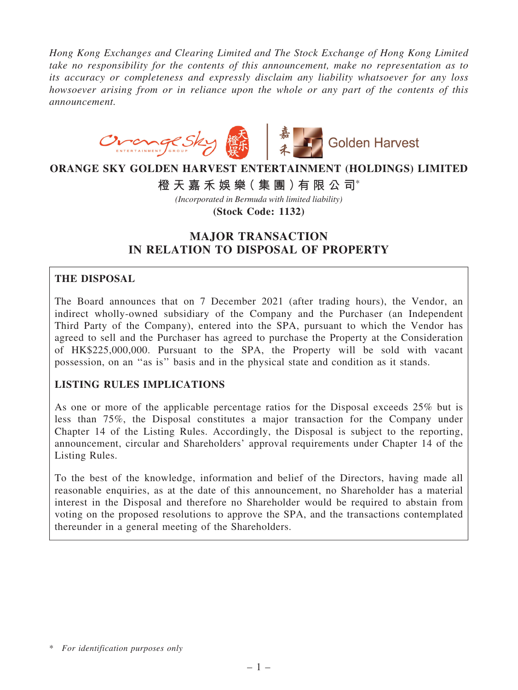*Hong Kong Exchanges and Clearing Limited and The Stock Exchange of Hong Kong Limited take no responsibility for the contents of this announcement, make no representation as to its accuracy or completeness and expressly disclaim any liability whatsoever for any loss howsoever arising from or in reliance upon the whole or any part of the contents of this announcement.*



# **ORANGE SKY GOLDEN HARVEST ENTERTAINMENT (HOLDINGS) LIMITED**

**橙 天 嘉 禾 娛 樂( 集 團 )有 限 公 司**\*

*(Incorporated in Bermuda with limited liability)*

**(Stock Code: 1132)**

# MAJOR TRANSACTION IN RELATION TO DISPOSAL OF PROPERTY

# THE DISPOSAL

The Board announces that on 7 December 2021 (after trading hours), the Vendor, an indirect wholly-owned subsidiary of the Company and the Purchaser (an Independent Third Party of the Company), entered into the SPA, pursuant to which the Vendor has agreed to sell and the Purchaser has agreed to purchase the Property at the Consideration of HK\$225,000,000. Pursuant to the SPA, the Property will be sold with vacant possession, on an ''as is'' basis and in the physical state and condition as it stands.

# LISTING RULES IMPLICATIONS

As one or more of the applicable percentage ratios for the Disposal exceeds 25% but is less than 75%, the Disposal constitutes a major transaction for the Company under Chapter 14 of the Listing Rules. Accordingly, the Disposal is subject to the reporting, announcement, circular and Shareholders' approval requirements under Chapter 14 of the Listing Rules.

To the best of the knowledge, information and belief of the Directors, having made all reasonable enquiries, as at the date of this announcement, no Shareholder has a material interest in the Disposal and therefore no Shareholder would be required to abstain from voting on the proposed resolutions to approve the SPA, and the transactions contemplated thereunder in a general meeting of the Shareholders.

<sup>\*</sup> *For identification purposes only*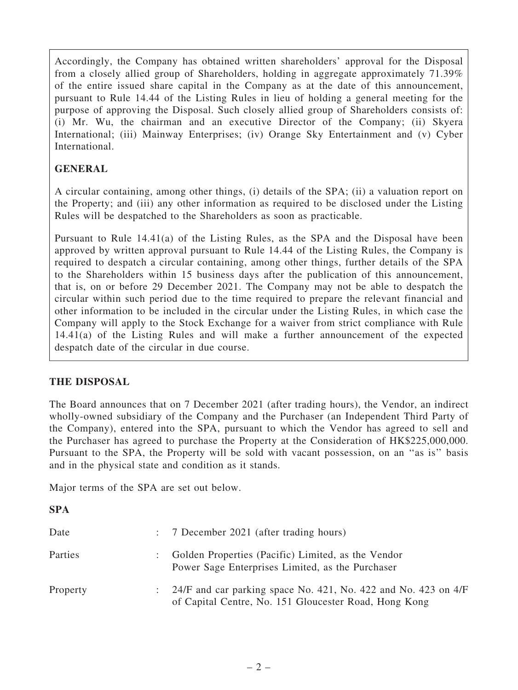Accordingly, the Company has obtained written shareholders' approval for the Disposal from a closely allied group of Shareholders, holding in aggregate approximately 71.39% of the entire issued share capital in the Company as at the date of this announcement, pursuant to Rule 14.44 of the Listing Rules in lieu of holding a general meeting for the purpose of approving the Disposal. Such closely allied group of Shareholders consists of: (i) Mr. Wu, the chairman and an executive Director of the Company; (ii) Skyera International; (iii) Mainway Enterprises; (iv) Orange Sky Entertainment and (v) Cyber International.

# GENERAL

A circular containing, among other things, (i) details of the SPA; (ii) a valuation report on the Property; and (iii) any other information as required to be disclosed under the Listing Rules will be despatched to the Shareholders as soon as practicable.

Pursuant to Rule 14.41(a) of the Listing Rules, as the SPA and the Disposal have been approved by written approval pursuant to Rule 14.44 of the Listing Rules, the Company is required to despatch a circular containing, among other things, further details of the SPA to the Shareholders within 15 business days after the publication of this announcement, that is, on or before 29 December 2021. The Company may not be able to despatch the circular within such period due to the time required to prepare the relevant financial and other information to be included in the circular under the Listing Rules, in which case the Company will apply to the Stock Exchange for a waiver from strict compliance with Rule 14.41(a) of the Listing Rules and will make a further announcement of the expected despatch date of the circular in due course.

# THE DISPOSAL

The Board announces that on 7 December 2021 (after trading hours), the Vendor, an indirect wholly-owned subsidiary of the Company and the Purchaser (an Independent Third Party of the Company), entered into the SPA, pursuant to which the Vendor has agreed to sell and the Purchaser has agreed to purchase the Property at the Consideration of HK\$225,000,000. Pursuant to the SPA, the Property will be sold with vacant possession, on an ''as is'' basis and in the physical state and condition as it stands.

Major terms of the SPA are set out below.

# **SPA**

| Date     | : 7 December 2021 (after trading hours)                                                                                     |
|----------|-----------------------------------------------------------------------------------------------------------------------------|
| Parties  | : Golden Properties (Pacific) Limited, as the Vendor<br>Power Sage Enterprises Limited, as the Purchaser                    |
| Property | : $24/F$ and car parking space No. 421, No. 422 and No. 423 on 4/F<br>of Capital Centre, No. 151 Gloucester Road, Hong Kong |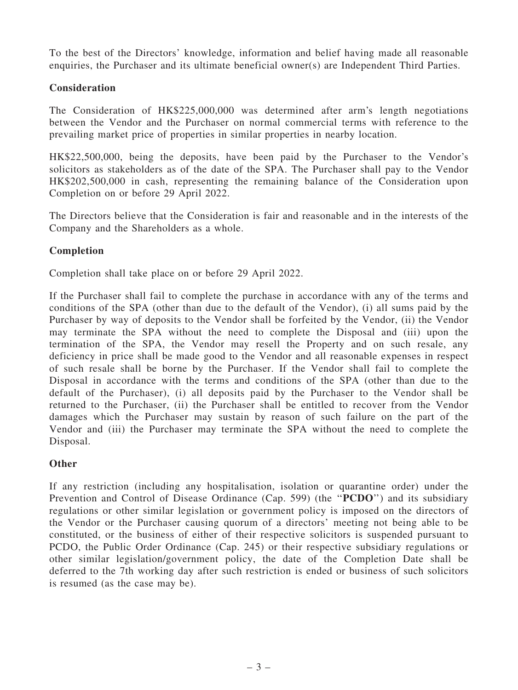To the best of the Directors' knowledge, information and belief having made all reasonable enquiries, the Purchaser and its ultimate beneficial owner(s) are Independent Third Parties.

# **Consideration**

The Consideration of HK\$225,000,000 was determined after arm's length negotiations between the Vendor and the Purchaser on normal commercial terms with reference to the prevailing market price of properties in similar properties in nearby location.

HK\$22,500,000, being the deposits, have been paid by the Purchaser to the Vendor's solicitors as stakeholders as of the date of the SPA. The Purchaser shall pay to the Vendor HK\$202,500,000 in cash, representing the remaining balance of the Consideration upon Completion on or before 29 April 2022.

The Directors believe that the Consideration is fair and reasonable and in the interests of the Company and the Shareholders as a whole.

#### Completion

Completion shall take place on or before 29 April 2022.

If the Purchaser shall fail to complete the purchase in accordance with any of the terms and conditions of the SPA (other than due to the default of the Vendor), (i) all sums paid by the Purchaser by way of deposits to the Vendor shall be forfeited by the Vendor, (ii) the Vendor may terminate the SPA without the need to complete the Disposal and (iii) upon the termination of the SPA, the Vendor may resell the Property and on such resale, any deficiency in price shall be made good to the Vendor and all reasonable expenses in respect of such resale shall be borne by the Purchaser. If the Vendor shall fail to complete the Disposal in accordance with the terms and conditions of the SPA (other than due to the default of the Purchaser), (i) all deposits paid by the Purchaser to the Vendor shall be returned to the Purchaser, (ii) the Purchaser shall be entitled to recover from the Vendor damages which the Purchaser may sustain by reason of such failure on the part of the Vendor and (iii) the Purchaser may terminate the SPA without the need to complete the Disposal.

#### **Other**

If any restriction (including any hospitalisation, isolation or quarantine order) under the Prevention and Control of Disease Ordinance (Cap. 599) (the "PCDO") and its subsidiary regulations or other similar legislation or government policy is imposed on the directors of the Vendor or the Purchaser causing quorum of a directors' meeting not being able to be constituted, or the business of either of their respective solicitors is suspended pursuant to PCDO, the Public Order Ordinance (Cap. 245) or their respective subsidiary regulations or other similar legislation/government policy, the date of the Completion Date shall be deferred to the 7th working day after such restriction is ended or business of such solicitors is resumed (as the case may be).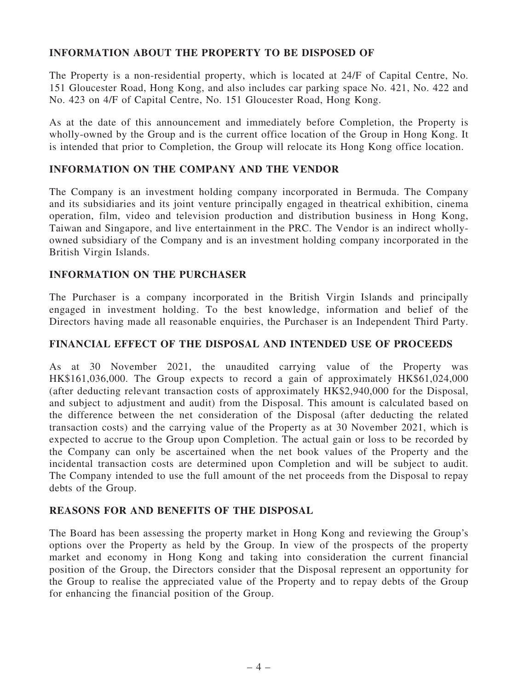# INFORMATION ABOUT THE PROPERTY TO BE DISPOSED OF

The Property is a non-residential property, which is located at 24/F of Capital Centre, No. 151 Gloucester Road, Hong Kong, and also includes car parking space No. 421, No. 422 and No. 423 on 4/F of Capital Centre, No. 151 Gloucester Road, Hong Kong.

As at the date of this announcement and immediately before Completion, the Property is wholly-owned by the Group and is the current office location of the Group in Hong Kong. It is intended that prior to Completion, the Group will relocate its Hong Kong office location.

# INFORMATION ON THE COMPANY AND THE VENDOR

The Company is an investment holding company incorporated in Bermuda. The Company and its subsidiaries and its joint venture principally engaged in theatrical exhibition, cinema operation, film, video and television production and distribution business in Hong Kong, Taiwan and Singapore, and live entertainment in the PRC. The Vendor is an indirect whollyowned subsidiary of the Company and is an investment holding company incorporated in the British Virgin Islands.

# INFORMATION ON THE PURCHASER

The Purchaser is a company incorporated in the British Virgin Islands and principally engaged in investment holding. To the best knowledge, information and belief of the Directors having made all reasonable enquiries, the Purchaser is an Independent Third Party.

# FINANCIAL EFFECT OF THE DISPOSAL AND INTENDED USE OF PROCEEDS

As at 30 November 2021, the unaudited carrying value of the Property was HK\$161,036,000. The Group expects to record a gain of approximately HK\$61,024,000 (after deducting relevant transaction costs of approximately HK\$2,940,000 for the Disposal, and subject to adjustment and audit) from the Disposal. This amount is calculated based on the difference between the net consideration of the Disposal (after deducting the related transaction costs) and the carrying value of the Property as at 30 November 2021, which is expected to accrue to the Group upon Completion. The actual gain or loss to be recorded by the Company can only be ascertained when the net book values of the Property and the incidental transaction costs are determined upon Completion and will be subject to audit. The Company intended to use the full amount of the net proceeds from the Disposal to repay debts of the Group.

# REASONS FOR AND BENEFITS OF THE DISPOSAL

The Board has been assessing the property market in Hong Kong and reviewing the Group's options over the Property as held by the Group. In view of the prospects of the property market and economy in Hong Kong and taking into consideration the current financial position of the Group, the Directors consider that the Disposal represent an opportunity for the Group to realise the appreciated value of the Property and to repay debts of the Group for enhancing the financial position of the Group.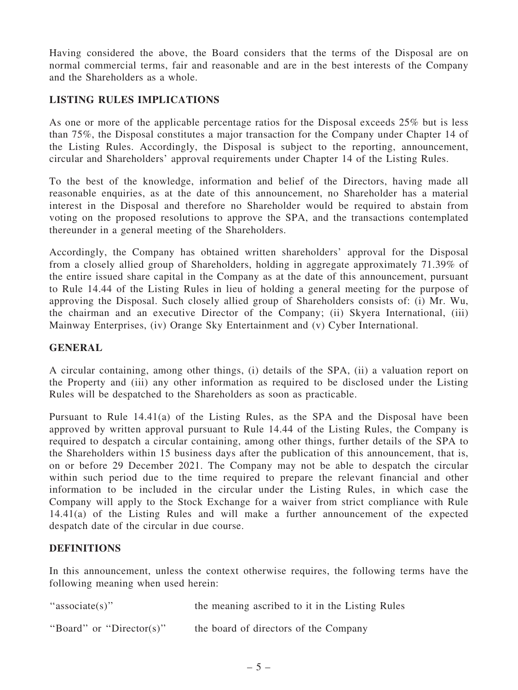Having considered the above, the Board considers that the terms of the Disposal are on normal commercial terms, fair and reasonable and are in the best interests of the Company and the Shareholders as a whole.

# LISTING RULES IMPLICATIONS

As one or more of the applicable percentage ratios for the Disposal exceeds 25% but is less than 75%, the Disposal constitutes a major transaction for the Company under Chapter 14 of the Listing Rules. Accordingly, the Disposal is subject to the reporting, announcement, circular and Shareholders' approval requirements under Chapter 14 of the Listing Rules.

To the best of the knowledge, information and belief of the Directors, having made all reasonable enquiries, as at the date of this announcement, no Shareholder has a material interest in the Disposal and therefore no Shareholder would be required to abstain from voting on the proposed resolutions to approve the SPA, and the transactions contemplated thereunder in a general meeting of the Shareholders.

Accordingly, the Company has obtained written shareholders' approval for the Disposal from a closely allied group of Shareholders, holding in aggregate approximately 71.39% of the entire issued share capital in the Company as at the date of this announcement, pursuant to Rule 14.44 of the Listing Rules in lieu of holding a general meeting for the purpose of approving the Disposal. Such closely allied group of Shareholders consists of: (i) Mr. Wu, the chairman and an executive Director of the Company; (ii) Skyera International, (iii) Mainway Enterprises, (iv) Orange Sky Entertainment and (v) Cyber International.

# **GENERAL**

A circular containing, among other things, (i) details of the SPA, (ii) a valuation report on the Property and (iii) any other information as required to be disclosed under the Listing Rules will be despatched to the Shareholders as soon as practicable.

Pursuant to Rule 14.41(a) of the Listing Rules, as the SPA and the Disposal have been approved by written approval pursuant to Rule 14.44 of the Listing Rules, the Company is required to despatch a circular containing, among other things, further details of the SPA to the Shareholders within 15 business days after the publication of this announcement, that is, on or before 29 December 2021. The Company may not be able to despatch the circular within such period due to the time required to prepare the relevant financial and other information to be included in the circular under the Listing Rules, in which case the Company will apply to the Stock Exchange for a waiver from strict compliance with Rule 14.41(a) of the Listing Rules and will make a further announcement of the expected despatch date of the circular in due course.

# DEFINITIONS

In this announcement, unless the context otherwise requires, the following terms have the following meaning when used herein:

"associate(s)" the meaning ascribed to it in the Listing Rules

''Board'' or ''Director(s)'' the board of directors of the Company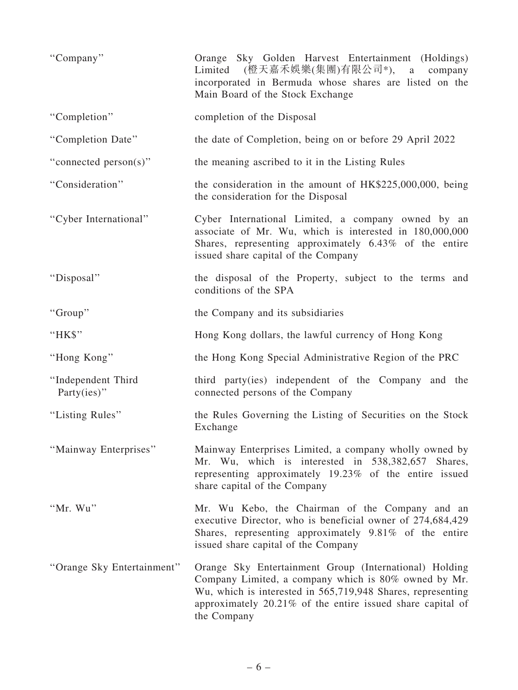| "Company"                         | Orange Sky Golden Harvest Entertainment (Holdings)<br>Limited (橙天嘉禾娛樂(集團)有限公司*), a company<br>incorporated in Bermuda whose shares are listed on the<br>Main Board of the Stock Exchange                                                                   |
|-----------------------------------|------------------------------------------------------------------------------------------------------------------------------------------------------------------------------------------------------------------------------------------------------------|
| "Completion"                      | completion of the Disposal                                                                                                                                                                                                                                 |
| "Completion Date"                 | the date of Completion, being on or before 29 April 2022                                                                                                                                                                                                   |
| "connected person(s)"             | the meaning ascribed to it in the Listing Rules                                                                                                                                                                                                            |
| "Consideration"                   | the consideration in the amount of HK\$225,000,000, being<br>the consideration for the Disposal                                                                                                                                                            |
| "Cyber International"             | Cyber International Limited, a company owned by an<br>associate of Mr. Wu, which is interested in 180,000,000<br>Shares, representing approximately 6.43% of the entire<br>issued share capital of the Company                                             |
| "Disposal"                        | the disposal of the Property, subject to the terms and<br>conditions of the SPA                                                                                                                                                                            |
| "Group"                           | the Company and its subsidiaries                                                                                                                                                                                                                           |
| "HK\$"                            | Hong Kong dollars, the lawful currency of Hong Kong                                                                                                                                                                                                        |
| "Hong Kong"                       | the Hong Kong Special Administrative Region of the PRC                                                                                                                                                                                                     |
| "Independent Third<br>Party(ies)" | third party(ies) independent of the Company and the<br>connected persons of the Company                                                                                                                                                                    |
| "Listing Rules"                   | the Rules Governing the Listing of Securities on the Stock<br>Exchange                                                                                                                                                                                     |
| "Mainway Enterprises"             | Mainway Enterprises Limited, a company wholly owned by<br>Mr. Wu, which is interested in 538,382,657<br>Shares,<br>representing approximately 19.23% of the entire issued<br>share capital of the Company                                                  |
| "Mr. Wu"                          | Mr. Wu Kebo, the Chairman of the Company and an<br>executive Director, who is beneficial owner of 274,684,429<br>Shares, representing approximately 9.81% of the entire<br>issued share capital of the Company                                             |
| "Orange Sky Entertainment"        | Orange Sky Entertainment Group (International) Holding<br>Company Limited, a company which is 80% owned by Mr.<br>Wu, which is interested in 565,719,948 Shares, representing<br>approximately 20.21% of the entire issued share capital of<br>the Company |